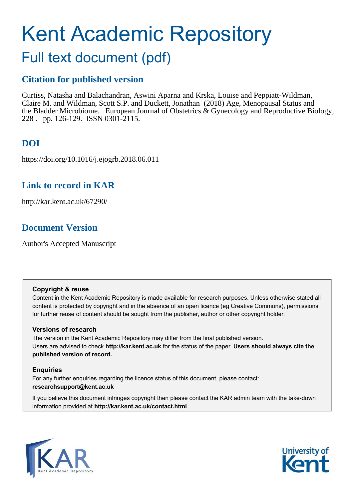# Kent Academic Repository

## Full text document (pdf)

### **Citation for published version**

Curtiss, Natasha and Balachandran, Aswini Aparna and Krska, Louise and Peppiatt-Wildman, Claire M. and Wildman, Scott S.P. and Duckett, Jonathan (2018) Age, Menopausal Status and the Bladder Microbiome. European Journal of Obstetrics & Gynecology and Reproductive Biology, 228 . pp. 126-129. ISSN 0301-2115.

## **DOI**

https://doi.org/10.1016/j.ejogrb.2018.06.011

## **Link to record in KAR**

http://kar.kent.ac.uk/67290/

## **Document Version**

Author's Accepted Manuscript

#### **Copyright & reuse**

Content in the Kent Academic Repository is made available for research purposes. Unless otherwise stated all content is protected by copyright and in the absence of an open licence (eg Creative Commons), permissions for further reuse of content should be sought from the publisher, author or other copyright holder.

#### **Versions of research**

The version in the Kent Academic Repository may differ from the final published version. Users are advised to check **http://kar.kent.ac.uk** for the status of the paper. **Users should always cite the published version of record.**

#### **Enquiries**

For any further enquiries regarding the licence status of this document, please contact: **researchsupport@kent.ac.uk**

If you believe this document infringes copyright then please contact the KAR admin team with the take-down information provided at **http://kar.kent.ac.uk/contact.html**



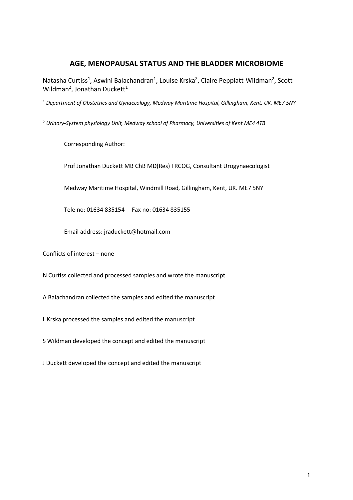#### **AGE, MENOPAUSAL STATUS AND THE BLADDER MICROBIOME**

Natasha Curtiss<sup>1</sup>, Aswini Balachandran<sup>1</sup>, Louise Krska<sup>2</sup>, Claire Peppiatt-Wildman<sup>2</sup>, Scott Wildman<sup>2</sup>, Jonathan Duckett<sup>1</sup>

*<sup>1</sup> Department of Obstetrics and Gynaecology, Medway Maritime Hospital, Gillingham, Kent, UK. ME7 5NY*

*<sup>2</sup> Urinary-System physiology Unit, Medway school of Pharmacy, Universities of Kent ME4 4TB*

Corresponding Author:

Prof Jonathan Duckett MB ChB MD(Res) FRCOG, Consultant Urogynaecologist

Medway Maritime Hospital, Windmill Road, Gillingham, Kent, UK. ME7 5NY

Tele no: 01634 835154 Fax no: 01634 835155

Email address: jraduckett@hotmail.com

Conflicts of interest – none

N Curtiss collected and processed samples and wrote the manuscript

A Balachandran collected the samples and edited the manuscript

L Krska processed the samples and edited the manuscript

S Wildman developed the concept and edited the manuscript

J Duckett developed the concept and edited the manuscript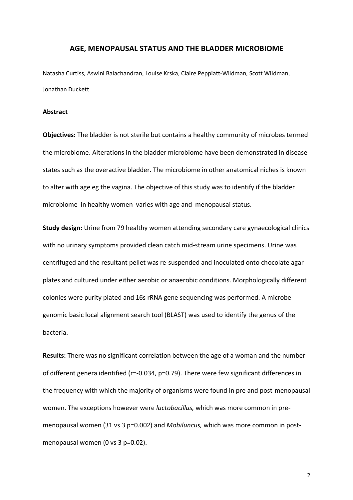#### **AGE, MENOPAUSAL STATUS AND THE BLADDER MICROBIOME**

Natasha Curtiss, Aswini Balachandran, Louise Krska, Claire Peppiatt-Wildman, Scott Wildman, Jonathan Duckett

#### **Abstract**

**Objectives:** The bladder is not sterile but contains a healthy community of microbes termed the microbiome. Alterations in the bladder microbiome have been demonstrated in disease states such as the overactive bladder. The microbiome in other anatomical niches is known to alter with age eg the vagina. The objective of this study was to identify if the bladder microbiome in healthy women varies with age and menopausal status.

**Study design:** Urine from 79 healthy women attending secondary care gynaecological clinics with no urinary symptoms provided clean catch mid-stream urine specimens. Urine was centrifuged and the resultant pellet was re-suspended and inoculated onto chocolate agar plates and cultured under either aerobic or anaerobic conditions. Morphologically different colonies were purity plated and 16s rRNA gene sequencing was performed. A microbe genomic basic local alignment search tool (BLAST) was used to identify the genus of the bacteria.

**Results:** There was no significant correlation between the age of a woman and the number of different genera identified (r=-0.034, p=0.79). There were few significant differences in the frequency with which the majority of organisms were found in pre and post-menopausal women. The exceptions however were *lactobacillus,* which was more common in premenopausal women (31 vs 3 p=0.002) and *Mobiluncus,* which was more common in postmenopausal women (0 vs 3 p=0.02).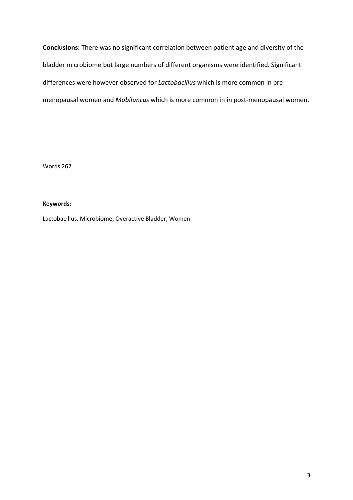**Conclusions:** There was no significant correlation between patient age and diversity of the bladder microbiome but large numbers of different organisms were identified. Significant differences were however observed for *Lactobacillus* which is more common in premenopausal women and *Mobiluncus* which is more common in in post-menopausal women.

Words 262

#### **Keywords:**

Lactobacillus, Microbiome, Overactive Bladder, Women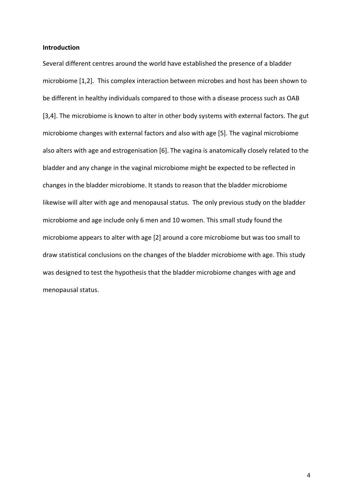#### **Introduction**

Several different centres around the world have established the presence of a bladder microbiome [1,2]. This complex interaction between microbes and host has been shown to be different in healthy individuals compared to those with a disease process such as OAB [3,4]. The microbiome is known to alter in other body systems with external factors. The gut microbiome changes with external factors and also with age [5]. The vaginal microbiome also alters with age and estrogenisation [6]. The vagina is anatomically closely related to the bladder and any change in the vaginal microbiome might be expected to be reflected in changes in the bladder microbiome. It stands to reason that the bladder microbiome likewise will alter with age and menopausal status. The only previous study on the bladder microbiome and age include only 6 men and 10 women. This small study found the microbiome appears to alter with age [2] around a core microbiome but was too small to draw statistical conclusions on the changes of the bladder microbiome with age. This study was designed to test the hypothesis that the bladder microbiome changes with age and menopausal status.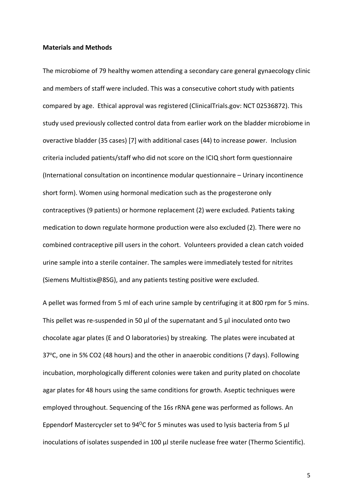#### **Materials and Methods**

The microbiome of 79 healthy women attending a secondary care general gynaecology clinic and members of staff were included. This was a consecutive cohort study with patients compared by age. Ethical approval was registered (ClinicalTrials.gov: NCT 02536872). This study used previously collected control data from earlier work on the bladder microbiome in overactive bladder (35 cases) [7] with additional cases (44) to increase power. Inclusion criteria included patients/staff who did not score on the ICIQ short form questionnaire (International consultation on incontinence modular questionnaire – Urinary incontinence short form). Women using hormonal medication such as the progesterone only contraceptives (9 patients) or hormone replacement (2) were excluded. Patients taking medication to down regulate hormone production were also excluded (2). There were no combined contraceptive pill users in the cohort. Volunteers provided a clean catch voided urine sample into a sterile container. The samples were immediately tested for nitrites (Siemens Multistix@8SG), and any patients testing positive were excluded.

A pellet was formed from 5 ml of each urine sample by centrifuging it at 800 rpm for 5 mins. This pellet was re-suspended in 50 μl of the supernatant and 5 μl inoculated onto two chocolate agar plates (E and O laboratories) by streaking. The plates were incubated at 37°C, one in 5% CO2 (48 hours) and the other in anaerobic conditions (7 days). Following incubation, morphologically different colonies were taken and purity plated on chocolate agar plates for 48 hours using the same conditions for growth. Aseptic techniques were employed throughout. Sequencing of the 16s rRNA gene was performed as follows. An Eppendorf Mastercycler set to 94<sup>o</sup>C for 5 minutes was used to lysis bacteria from 5  $\mu$ l inoculations of isolates suspended in 100 μl sterile nuclease free water (Thermo Scientific).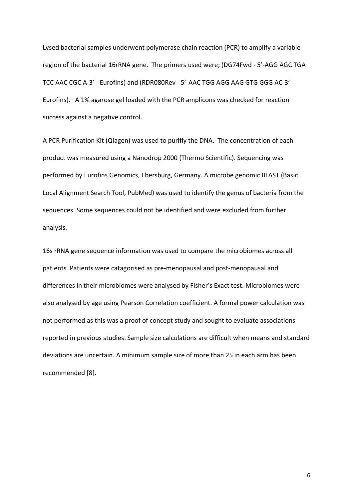Lysed bacterial samples underwent polymerase chain reaction (PCR) to amplify a variable region of the bacterial 16rRNA gene. The primers used were; (DG74Fwd - 5'-AGG AGC TGA TCC AAC CGC A-3' - Eurofins) and (RDR080Rev - 5'-AAC TGG AGG AAG GTG GGG AC-3'- Eurofins). A 1% agarose gel loaded with the PCR amplicons was checked for reaction success against a negative control.

A PCR Purification Kit (Qiagen) was used to purifiy the DNA. The concentration of each product was measured using a Nanodrop 2000 (Thermo Scientific). Sequencing was performed by Eurofins Genomics, Ebersburg, Germany. A microbe genomic BLAST (Basic Local Alignment Search Tool, PubMed) was used to identify the genus of bacteria from the sequences. Some sequences could not be identified and were excluded from further analysis.

16s rRNA gene sequence information was used to compare the microbiomes across all patients. Patients were catagorised as pre-menopausal and post-menopausal and differences in their microbiomes were analysed by Fisher's Exact test. Microbiomes were also analysed by age using Pearson Correlation coefficient. A formal power calculation was not performed as this was a proof of concept study and sought to evaluate associations reported in previous studies. Sample size calculations are difficult when means and standard deviations are uncertain. A minimum sample size of more than 25 in each arm has been recommended [8].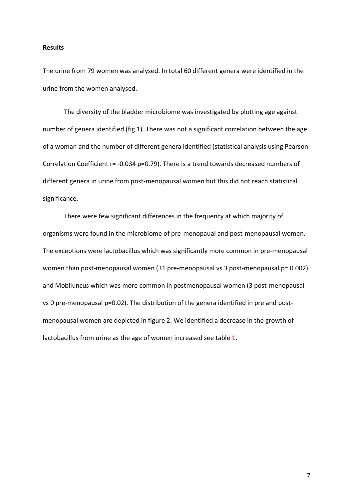#### **Results**

The urine from 79 women was analysed. In total 60 different genera were identified in the urine from the women analysed.

The diversity of the bladder microbiome was investigated by plotting age against number of genera identified (fig 1). There was not a significant correlation between the age of a woman and the number of different genera identified (statistical analysis using Pearson Correlation Coefficient r= -0.034 p=0.79). There is a trend towards decreased numbers of different genera in urine from post-menopausal women but this did not reach statistical significance.

There were few significant differences in the frequency at which majority of organisms were found in the microbiome of pre-menopaual and post-menopausal women. The exceptions were lactobacillus which was significantly more common in pre-menopausal women than post-menopausal women (31 pre-menopausal vs 3 post-menopausal p= 0.002) and Mobiluncus which was more common in postmenopausal women (3 post-menopausal vs 0 pre-menopausal p=0.02). The distribution of the genera identified in pre and postmenopausal women are depicted in figure 2. We identified a decrease in the growth of lactobacillus from urine as the age of women increased see table 1.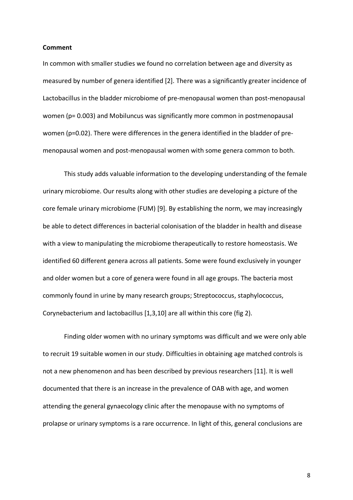#### **Comment**

In common with smaller studies we found no correlation between age and diversity as measured by number of genera identified [2]. There was a significantly greater incidence of Lactobacillus in the bladder microbiome of pre-menopausal women than post-menopausal women (p= 0.003) and Mobiluncus was significantly more common in postmenopausal women (p=0.02). There were differences in the genera identified in the bladder of premenopausal women and post-menopausal women with some genera common to both.

This study adds valuable information to the developing understanding of the female urinary microbiome. Our results along with other studies are developing a picture of the core female urinary microbiome (FUM) [9]. By establishing the norm, we may increasingly be able to detect differences in bacterial colonisation of the bladder in health and disease with a view to manipulating the microbiome therapeutically to restore homeostasis. We identified 60 different genera across all patients. Some were found exclusively in younger and older women but a core of genera were found in all age groups. The bacteria most commonly found in urine by many research groups; Streptococcus, staphylococcus, Corynebacterium and lactobacillus [1,3,10] are all within this core (fig 2).

Finding older women with no urinary symptoms was difficult and we were only able to recruit 19 suitable women in our study. Difficulties in obtaining age matched controls is not a new phenomenon and has been described by previous researchers [11]. It is well documented that there is an increase in the prevalence of OAB with age, and women attending the general gynaecology clinic after the menopause with no symptoms of prolapse or urinary symptoms is a rare occurrence. In light of this, general conclusions are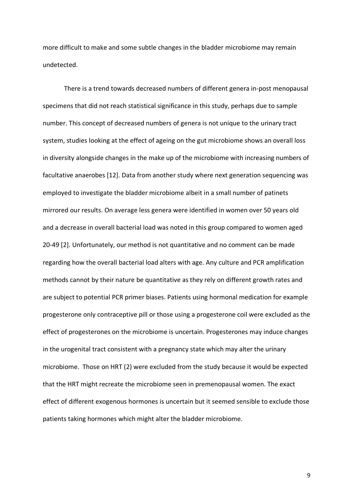more difficult to make and some subtle changes in the bladder microbiome may remain undetected.

There is a trend towards decreased numbers of different genera in-post menopausal specimens that did not reach statistical significance in this study, perhaps due to sample number. This concept of decreased numbers of genera is not unique to the urinary tract system, studies looking at the effect of ageing on the gut microbiome shows an overall loss in diversity alongside changes in the make up of the microbiome with increasing numbers of facultative anaerobes [12]. Data from another study where next generation sequencing was employed to investigate the bladder microbiome albeit in a small number of patinets mirrored our results. On average less genera were identified in women over 50 years old and a decrease in overall bacterial load was noted in this group compared to women aged 20-49 [2]. Unfortunately, our method is not quantitative and no comment can be made regarding how the overall bacterial load alters with age. Any culture and PCR amplification methods cannot by their nature be quantitative as they rely on different growth rates and are subject to potential PCR primer biases. Patients using hormonal medication for example progesterone only contraceptive pill or those using a progesterone coil were excluded as the effect of progesterones on the microbiome is uncertain. Progesterones may induce changes in the urogenital tract consistent with a pregnancy state which may alter the urinary microbiome. Those on HRT (2) were excluded from the study because it would be expected that the HRT might recreate the microbiome seen in premenopausal women. The exact effect of different exogenous hormones is uncertain but it seemed sensible to exclude those patients taking hormones which might alter the bladder microbiome.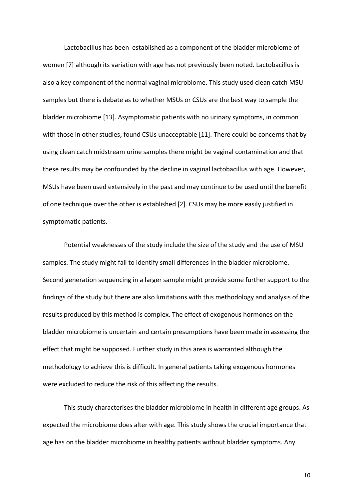Lactobacillus has been established as a component of the bladder microbiome of women [7] although its variation with age has not previously been noted. Lactobacillus is also a key component of the normal vaginal microbiome. This study used clean catch MSU samples but there is debate as to whether MSUs or CSUs are the best way to sample the bladder microbiome [13]. Asymptomatic patients with no urinary symptoms, in common with those in other studies, found CSUs unacceptable [11]. There could be concerns that by using clean catch midstream urine samples there might be vaginal contamination and that these results may be confounded by the decline in vaginal lactobacillus with age. However, MSUs have been used extensively in the past and may continue to be used until the benefit of one technique over the other is established [2]. CSUs may be more easily justified in symptomatic patients.

Potential weaknesses of the study include the size of the study and the use of MSU samples. The study might fail to identify small differences in the bladder microbiome. Second generation sequencing in a larger sample might provide some further support to the findings of the study but there are also limitations with this methodology and analysis of the results produced by this method is complex. The effect of exogenous hormones on the bladder microbiome is uncertain and certain presumptions have been made in assessing the effect that might be supposed. Further study in this area is warranted although the methodology to achieve this is difficult. In general patients taking exogenous hormones were excluded to reduce the risk of this affecting the results.

This study characterises the bladder microbiome in health in different age groups. As expected the microbiome does alter with age. This study shows the crucial importance that age has on the bladder microbiome in healthy patients without bladder symptoms. Any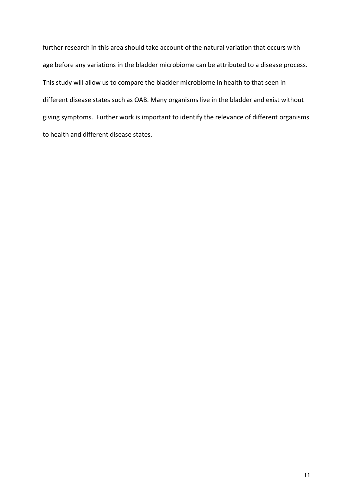further research in this area should take account of the natural variation that occurs with age before any variations in the bladder microbiome can be attributed to a disease process. This study will allow us to compare the bladder microbiome in health to that seen in different disease states such as OAB. Many organisms live in the bladder and exist without giving symptoms. Further work is important to identify the relevance of different organisms to health and different disease states.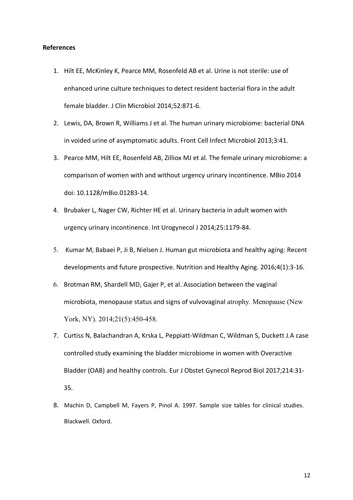#### **References**

- 1. Hilt EE, McKinley K, Pearce MM, Rosenfeld AB et al. Urine is not sterile: use of enhanced urine culture techniques to detect resident bacterial flora in the adult female bladder. J Clin Microbiol 2014;52:871-6.
- 2. Lewis, DA, Brown R, Williams J et al. The human urinary microbiome: bacterial DNA in voided urine of asymptomatic adults. Front Cell Infect Microbiol 2013;3:41.
- 3. Pearce MM, Hilt EE, Rosenfeld AB, Zilliox MJ et al. The female urinary microbiome: a comparison of women with and without urgency urinary incontinence. MBio 2014 doi: 10.1128/mBio.01283-14.
- 4. Brubaker L, Nager CW, Richter HE et al. Urinary bacteria in adult women with urgency urinary incontinence. Int Urogynecol J 2014;25:1179-84.
- 5. Kumar M, Babaei P, Ji B, Nielsen J. Human gut microbiota and healthy aging: Recent developments and future prospective. Nutrition and Healthy Aging. 2016;4(1):3-16.
- 6. Brotman RM, Shardell MD, Gajer P, et al. Association between the vaginal microbiota, menopause status and signs of vulvovaginal atrophy. Menopause (New York, NY). 2014;21(5):450-458.
- 7. Curtiss N, Balachandran A, Krska L, Peppiatt-Wildman C, Wildman S, Duckett J.A case controlled study examining the bladder microbiome in women with Overactive Bladder (OAB) and healthy controls. Eur J Obstet Gynecol Reprod Biol 2017;214:31- 35.
- 8. Machin D, Campbell M, Fayers P, Pinol A. 1997. Sample size tables for clinical studies. Blackwell. Oxford.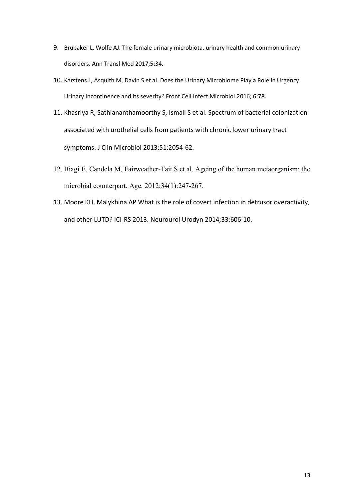- 9. Brubaker L, Wolfe AJ. The female urinary microbiota, urinary health and common urinary disorders. Ann Transl Med 2017;5:34.
- 10. Karstens L, Asquith M, Davin S et al. Does the Urinary Microbiome Play a Role in Urgency Urinary Incontinence and its severity? Front Cell Infect Microbiol.2016; 6:78.
- 11. Khasriya R, Sathiananthamoorthy S, Ismail S et al. Spectrum of bacterial colonization associated with urothelial cells from patients with chronic lower urinary tract symptoms. J Clin Microbiol 2013;51:2054-62.
- 12. Biagi E, Candela M, Fairweather-Tait S et al. Ageing of the human metaorganism: the microbial counterpart. Age. 2012;34(1):247-267.
- 13. Moore KH, Malykhina AP What is the role of covert infection in detrusor overactivity, and other LUTD? ICI-RS 2013. Neurourol Urodyn 2014;33:606-10.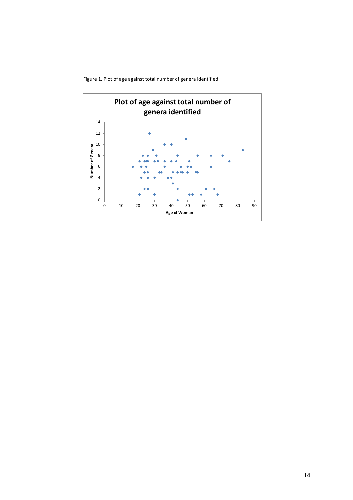Figure 1. Plot of age against total number of genera identified

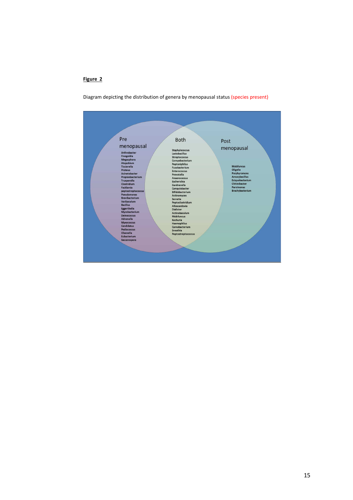#### **Figure 2**

Diagram depicting the distribution of genera by menopausal status (species present)